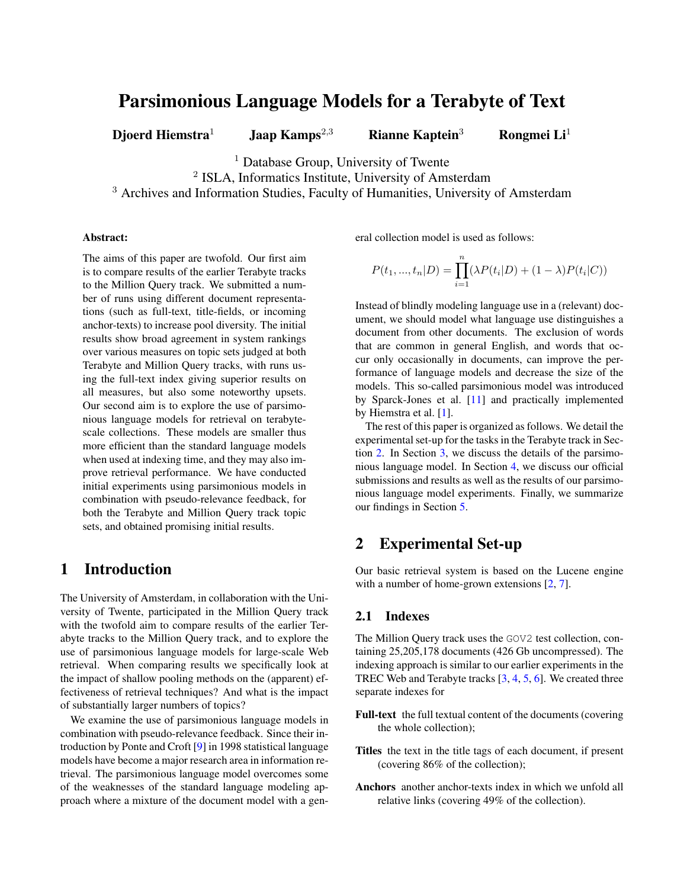# Parsimonious Language Models for a Terabyte of Text

Djoerd Hiemstra<sup>1</sup> Jaap Kamps<sup>2,3</sup> Rianne Kaptein<sup>3</sup> Rongmei Li<sup>1</sup>

<sup>1</sup> Database Group, University of Twente

<sup>2</sup> ISLA, Informatics Institute, University of Amsterdam

<sup>3</sup> Archives and Information Studies, Faculty of Humanities, University of Amsterdam

#### Abstract:

The aims of this paper are twofold. Our first aim is to compare results of the earlier Terabyte tracks to the Million Query track. We submitted a number of runs using different document representations (such as full-text, title-fields, or incoming anchor-texts) to increase pool diversity. The initial results show broad agreement in system rankings over various measures on topic sets judged at both Terabyte and Million Query tracks, with runs using the full-text index giving superior results on all measures, but also some noteworthy upsets. Our second aim is to explore the use of parsimonious language models for retrieval on terabytescale collections. These models are smaller thus more efficient than the standard language models when used at indexing time, and they may also improve retrieval performance. We have conducted initial experiments using parsimonious models in combination with pseudo-relevance feedback, for both the Terabyte and Million Query track topic sets, and obtained promising initial results.

# 1 Introduction

The University of Amsterdam, in collaboration with the University of Twente, participated in the Million Query track with the twofold aim to compare results of the earlier Terabyte tracks to the Million Query track, and to explore the use of parsimonious language models for large-scale Web retrieval. When comparing results we specifically look at the impact of shallow pooling methods on the (apparent) effectiveness of retrieval techniques? And what is the impact of substantially larger numbers of topics?

We examine the use of parsimonious language models in combination with pseudo-relevance feedback. Since their introduction by Ponte and Croft [\[9\]](#page-6-0) in 1998 statistical language models have become a major research area in information retrieval. The parsimonious language model overcomes some of the weaknesses of the standard language modeling approach where a mixture of the document model with a general collection model is used as follows:

$$
P(t_1, ..., t_n | D) = \prod_{i=1}^n (\lambda P(t_i | D) + (1 - \lambda) P(t_i | C))
$$

Instead of blindly modeling language use in a (relevant) document, we should model what language use distinguishes a document from other documents. The exclusion of words that are common in general English, and words that occur only occasionally in documents, can improve the performance of language models and decrease the size of the models. This so-called parsimonious model was introduced by Sparck-Jones et al. [\[11\]](#page-6-1) and practically implemented by Hiemstra et al. [\[1\]](#page-6-2).

The rest of this paper is organized as follows. We detail the experimental set-up for the tasks in the Terabyte track in Section [2.](#page-0-0) In Section [3,](#page-1-0) we discuss the details of the parsimonious language model. In Section [4,](#page-2-0) we discuss our official submissions and results as well as the results of our parsimonious language model experiments. Finally, we summarize our findings in Section [5.](#page-6-3)

## <span id="page-0-0"></span>2 Experimental Set-up

Our basic retrieval system is based on the Lucene engine with a number of home-grown extensions [\[2,](#page-6-4) [7\]](#page-6-5).

### 2.1 Indexes

The Million Query track uses the GOV2 test collection, containing 25,205,178 documents (426 Gb uncompressed). The indexing approach is similar to our earlier experiments in the TREC Web and Terabyte tracks [\[3,](#page-6-6) [4,](#page-6-7) [5,](#page-6-8) [6\]](#page-6-9). We created three separate indexes for

- Full-text the full textual content of the documents (covering the whole collection);
- Titles the text in the title tags of each document, if present (covering 86% of the collection);
- Anchors another anchor-texts index in which we unfold all relative links (covering 49% of the collection).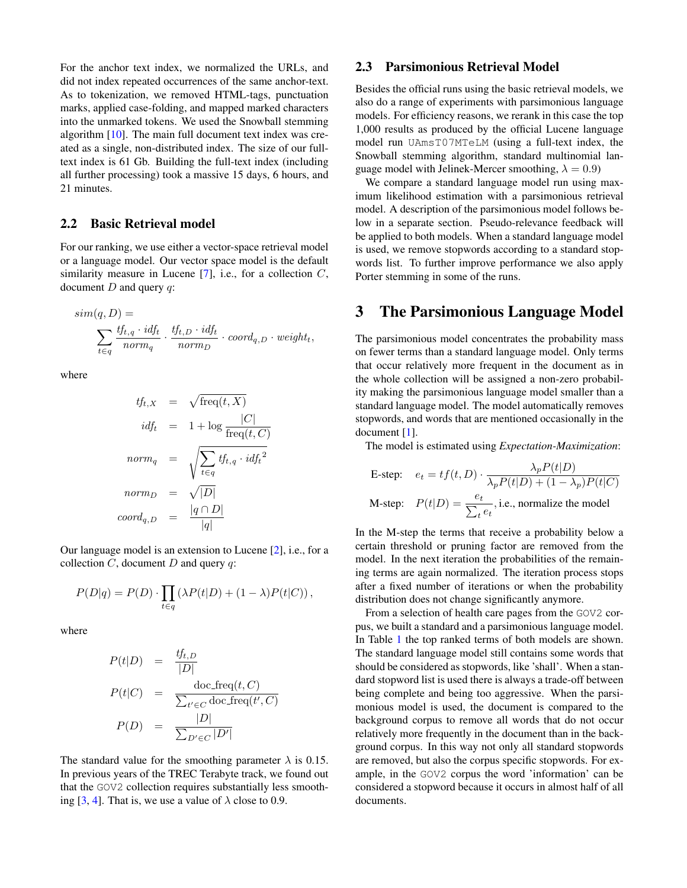For the anchor text index, we normalized the URLs, and did not index repeated occurrences of the same anchor-text. As to tokenization, we removed HTML-tags, punctuation marks, applied case-folding, and mapped marked characters into the unmarked tokens. We used the Snowball stemming algorithm [\[10\]](#page-6-10). The main full document text index was created as a single, non-distributed index. The size of our fulltext index is 61 Gb. Building the full-text index (including all further processing) took a massive 15 days, 6 hours, and 21 minutes.

#### 2.2 Basic Retrieval model

For our ranking, we use either a vector-space retrieval model or a language model. Our vector space model is the default similarity measure in Lucene  $[7]$ , i.e., for a collection  $C$ , document  $D$  and query  $q$ :

$$
sim(q, D) = \n\sum_{t \in q} \frac{tf_{t,q} \cdot id_{t}}{norm_{q}} \cdot \frac{tf_{t,D} \cdot id_{t}}{norm_{D}} \cdot coord_{q,D} \cdot weight_{t},
$$

where

$$
tf_{t,X} = \sqrt{\text{freq}(t, X)}
$$

$$
idf_t = 1 + \log \frac{|C|}{\text{freq}(t, C)}
$$

$$
norm_q = \sqrt{\sum_{t \in q} tf_{t,q} \cdot idf_t^2}
$$

$$
norm_D = \sqrt{|D|}
$$

$$
coord_{q,D} = \frac{|q \cap D|}{|q|}
$$

Our language model is an extension to Lucene [\[2\]](#page-6-4), i.e., for a collection  $C$ , document  $D$  and query  $q$ :

$$
P(D|q) = P(D) \cdot \prod_{t \in q} (\lambda P(t|D) + (1 - \lambda)P(t|C)),
$$

where

$$
P(t|D) = \frac{tf_{t,D}}{|D|}
$$
  
\n
$$
P(t|C) = \frac{\text{doc-free}(t, C)}{\sum_{t' \in C} \text{doc-free}(t', C)}
$$
  
\n
$$
P(D) = \frac{|D|}{\sum_{D' \in C} |D'|}
$$

The standard value for the smoothing parameter  $\lambda$  is 0.15. In previous years of the TREC Terabyte track, we found out that the GOV2 collection requires substantially less smooth-ing [\[3,](#page-6-6) [4\]](#page-6-7). That is, we use a value of  $\lambda$  close to 0.9.

### 2.3 Parsimonious Retrieval Model

Besides the official runs using the basic retrieval models, we also do a range of experiments with parsimonious language models. For efficiency reasons, we rerank in this case the top 1,000 results as produced by the official Lucene language model run UAmsT07MTeLM (using a full-text index, the Snowball stemming algorithm, standard multinomial language model with Jelinek-Mercer smoothing,  $\lambda = 0.9$ )

We compare a standard language model run using maximum likelihood estimation with a parsimonious retrieval model. A description of the parsimonious model follows below in a separate section. Pseudo-relevance feedback will be applied to both models. When a standard language model is used, we remove stopwords according to a standard stopwords list. To further improve performance we also apply Porter stemming in some of the runs.

## <span id="page-1-0"></span>3 The Parsimonious Language Model

The parsimonious model concentrates the probability mass on fewer terms than a standard language model. Only terms that occur relatively more frequent in the document as in the whole collection will be assigned a non-zero probability making the parsimonious language model smaller than a standard language model. The model automatically removes stopwords, and words that are mentioned occasionally in the document [\[1\]](#page-6-2).

The model is estimated using *Expectation-Maximization*:

E-step: 
$$
e_t = tf(t, D) \cdot \frac{\lambda_p P(t|D)}{\lambda_p P(t|D) + (1 - \lambda_p)P(t|C)}
$$
  
M-step:  $P(t|D) = \frac{e_t}{\sum_t e_t}$ , i.e., normalize the model

In the M-step the terms that receive a probability below a certain threshold or pruning factor are removed from the model. In the next iteration the probabilities of the remaining terms are again normalized. The iteration process stops after a fixed number of iterations or when the probability distribution does not change significantly anymore.

From a selection of health care pages from the GOV2 corpus, we built a standard and a parsimonious language model. In Table [1](#page-2-1) the top ranked terms of both models are shown. The standard language model still contains some words that should be considered as stopwords, like 'shall'. When a standard stopword list is used there is always a trade-off between being complete and being too aggressive. When the parsimonious model is used, the document is compared to the background corpus to remove all words that do not occur relatively more frequently in the document than in the background corpus. In this way not only all standard stopwords are removed, but also the corpus specific stopwords. For example, in the GOV2 corpus the word 'information' can be considered a stopword because it occurs in almost half of all documents.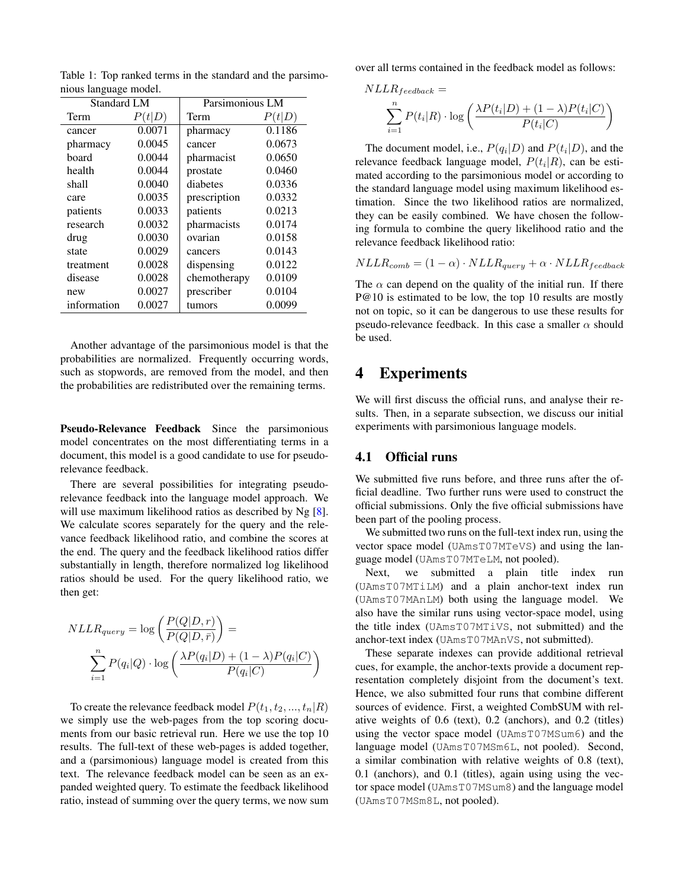| <b>Standard LM</b> |        | Parsimonious LM |        |  |
|--------------------|--------|-----------------|--------|--|
| Term               | P(t D) | Term            | P(t D) |  |
| cancer             | 0.0071 | pharmacy        | 0.1186 |  |
| pharmacy           | 0.0045 | cancer          | 0.0673 |  |
| board              | 0.0044 | pharmacist      | 0.0650 |  |
| health             | 0.0044 | prostate        | 0.0460 |  |
| shall              | 0.0040 | diabetes        | 0.0336 |  |
| care               | 0.0035 | prescription    | 0.0332 |  |
| patients           | 0.0033 | patients        | 0.0213 |  |
| research           | 0.0032 | pharmacists     | 0.0174 |  |
| drug               | 0.0030 | ovarian         | 0.0158 |  |
| state              | 0.0029 | cancers         | 0.0143 |  |
| treatment          | 0.0028 | dispensing      | 0.0122 |  |
| disease            | 0.0028 | chemotherapy    | 0.0109 |  |
| new                | 0.0027 | prescriber      | 0.0104 |  |
| information        | 0.0027 | tumors          | 0.0099 |  |

<span id="page-2-1"></span>Table 1: Top ranked terms in the standard and the parsimonious language model.

Another advantage of the parsimonious model is that the probabilities are normalized. Frequently occurring words, such as stopwords, are removed from the model, and then the probabilities are redistributed over the remaining terms.

Pseudo-Relevance Feedback Since the parsimonious model concentrates on the most differentiating terms in a document, this model is a good candidate to use for pseudorelevance feedback.

There are several possibilities for integrating pseudorelevance feedback into the language model approach. We will use maximum likelihood ratios as described by Ng [\[8\]](#page-6-11). We calculate scores separately for the query and the relevance feedback likelihood ratio, and combine the scores at the end. The query and the feedback likelihood ratios differ substantially in length, therefore normalized log likelihood ratios should be used. For the query likelihood ratio, we then get:

$$
NLLR_{query} = \log\left(\frac{P(Q|D, r)}{P(Q|D, \bar{r})}\right) = \frac{\sum_{i=1}^{n} P(q_i|Q) \cdot \log\left(\frac{\lambda P(q_i|D) + (1 - \lambda)P(q_i|C)}{P(q_i|C)}\right)}
$$

To create the relevance feedback model  $P(t_1, t_2, ..., t_n|R)$ we simply use the web-pages from the top scoring documents from our basic retrieval run. Here we use the top 10 results. The full-text of these web-pages is added together, and a (parsimonious) language model is created from this text. The relevance feedback model can be seen as an expanded weighted query. To estimate the feedback likelihood ratio, instead of summing over the query terms, we now sum over all terms contained in the feedback model as follows:

$$
NLLR_{feedback} = \frac{\sum_{i=1}^{n} P(t_i|R) \cdot \log \left( \frac{\lambda P(t_i|D) + (1-\lambda)P(t_i|C)}{P(t_i|C)} \right)}{\sum_{i=1}^{n} P(t_i|C)}
$$

The document model, i.e.,  $P(q_i|D)$  and  $P(t_i|D)$ , and the relevance feedback language model,  $P(t_i|R)$ , can be estimated according to the parsimonious model or according to the standard language model using maximum likelihood estimation. Since the two likelihood ratios are normalized, they can be easily combined. We have chosen the following formula to combine the query likelihood ratio and the relevance feedback likelihood ratio:

$$
NLLR_{comb} = (1 - \alpha) \cdot NLLR_{query} + \alpha \cdot NLLR_{feedback}
$$

The  $\alpha$  can depend on the quality of the initial run. If there P@10 is estimated to be low, the top 10 results are mostly not on topic, so it can be dangerous to use these results for pseudo-relevance feedback. In this case a smaller  $\alpha$  should be used.

## <span id="page-2-0"></span>4 Experiments

We will first discuss the official runs, and analyse their results. Then, in a separate subsection, we discuss our initial experiments with parsimonious language models.

### 4.1 Official runs

We submitted five runs before, and three runs after the official deadline. Two further runs were used to construct the official submissions. Only the five official submissions have been part of the pooling process.

We submitted two runs on the full-text index run, using the vector space model (UAmsT07MTeVS) and using the language model (UAmsT07MTeLM, not pooled).

Next, we submitted a plain title index run (UAmsT07MTiLM) and a plain anchor-text index run (UAmsT07MAnLM) both using the language model. We also have the similar runs using vector-space model, using the title index (UAmsT07MTiVS, not submitted) and the anchor-text index (UAmsT07MAnVS, not submitted).

These separate indexes can provide additional retrieval cues, for example, the anchor-texts provide a document representation completely disjoint from the document's text. Hence, we also submitted four runs that combine different sources of evidence. First, a weighted CombSUM with relative weights of 0.6 (text), 0.2 (anchors), and 0.2 (titles) using the vector space model (UAmsT07MSum6) and the language model (UAmsT07MSm6L, not pooled). Second, a similar combination with relative weights of 0.8 (text), 0.1 (anchors), and 0.1 (titles), again using using the vector space model (UAmsT07MSum8) and the language model (UAmsT07MSm8L, not pooled).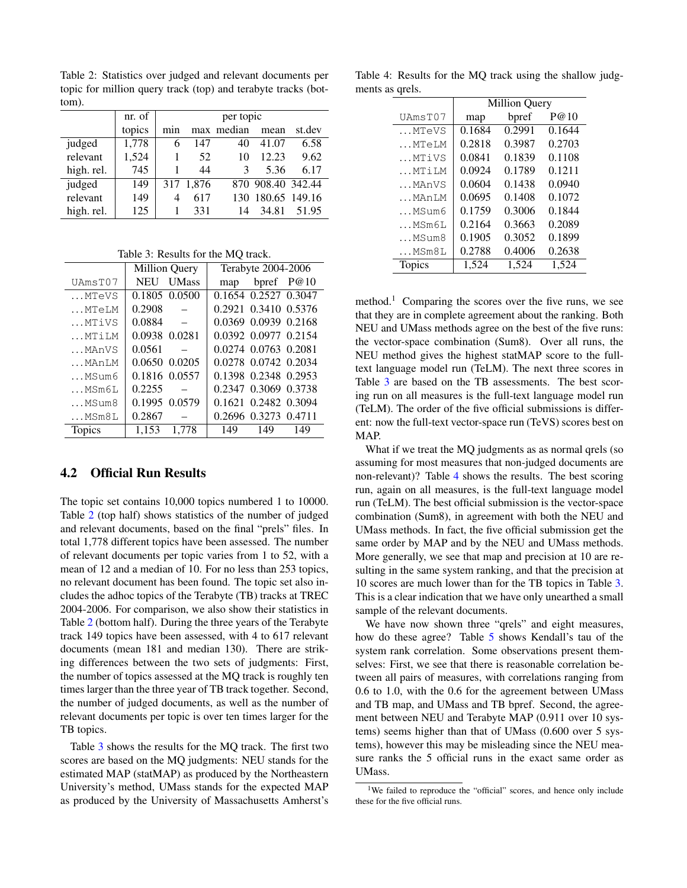<span id="page-3-0"></span>Table 2: Statistics over judged and relevant documents per topic for million query track (top) and terabyte tracks (bottom).

|            | nr. of | per topic |           |               |                   |        |
|------------|--------|-----------|-----------|---------------|-------------------|--------|
|            | topics | min       |           | max median    | mean              | st.dev |
| judged     | 1,778  | 6         | 147       | 40            | 41.07             | 6.58   |
| relevant   | 1,524  |           | 52        | 10            | 12.23             | 9.62   |
| high. rel. | 745    |           | 44        | $\mathcal{R}$ | 5.36              | 6.17   |
| judged     | 149    |           | 317 1,876 |               | 870 908.40 342.44 |        |
| relevant   | 149    | 4         | 617       |               | 130 180.65 149.16 |        |
| high. rel. | 125    |           | 331       | 14            | 34.81             | 51.95  |

<span id="page-3-1"></span>Table 3: Results for the MQ track.

|                   | <b>Million Query</b>       | Terabyte 2004-2006   |  |  |  |
|-------------------|----------------------------|----------------------|--|--|--|
| UAmsT07           | <b>UMass</b><br><b>NEU</b> | bpref $P@10$<br>map  |  |  |  |
| MTeVS             | 0.1805 0.0500              | 0.1654 0.2527 0.3047 |  |  |  |
| MTeLM             | 0.2908                     | 0.2921 0.3410 0.5376 |  |  |  |
| MTiVS             | 0.0884                     | 0.0369 0.0939 0.2168 |  |  |  |
| MTiLM             | 0.0938 0.0281              | 0.0392 0.0977 0.2154 |  |  |  |
| MAnVS             | 0.0561                     | 0.0274 0.0763 0.2081 |  |  |  |
| MAnLM             | 0.0650 0.0205              | 0.0278 0.0742 0.2034 |  |  |  |
| MSum6             | 0.1816 0.0557              | 0.1398 0.2348 0.2953 |  |  |  |
| MSm6L             | 0.2255                     | 0.2347 0.3069 0.3738 |  |  |  |
| MSum8             | 0.1995 0.0579              | 0.1621 0.2482 0.3094 |  |  |  |
| $\ldots$ MSm $8L$ | 0.2867                     | 0.2696 0.3273 0.4711 |  |  |  |
| <b>Topics</b>     | 1,153<br>1.778             | 149<br>149<br>149    |  |  |  |

#### 4.2 Official Run Results

The topic set contains 10,000 topics numbered 1 to 10000. Table [2](#page-3-0) (top half) shows statistics of the number of judged and relevant documents, based on the final "prels" files. In total 1,778 different topics have been assessed. The number of relevant documents per topic varies from 1 to 52, with a mean of 12 and a median of 10. For no less than 253 topics, no relevant document has been found. The topic set also includes the adhoc topics of the Terabyte (TB) tracks at TREC 2004-2006. For comparison, we also show their statistics in Table [2](#page-3-0) (bottom half). During the three years of the Terabyte track 149 topics have been assessed, with 4 to 617 relevant documents (mean 181 and median 130). There are striking differences between the two sets of judgments: First, the number of topics assessed at the MQ track is roughly ten times larger than the three year of TB track together. Second, the number of judged documents, as well as the number of relevant documents per topic is over ten times larger for the TB topics.

Table [3](#page-3-1) shows the results for the MQ track. The first two scores are based on the MQ judgments: NEU stands for the estimated MAP (statMAP) as produced by the Northeastern University's method, UMass stands for the expected MAP as produced by the University of Massachusetts Amherst's

Table 4: Results for the MQ track using the shallow judgments as qrels.

<span id="page-3-2"></span>

|         | <b>Million Query</b> |        |        |  |  |
|---------|----------------------|--------|--------|--|--|
| UAmsT07 | map                  | bpref  | P@10   |  |  |
| MTeVS   | 0.1684               | 0.2991 | 0.1644 |  |  |
| MTeLM   | 0.2818               | 0.3987 | 0.2703 |  |  |
| MTiVS   | 0.0841               | 0.1839 | 0.1108 |  |  |
| MTiLM   | 0.0924               | 0.1789 | 0.1211 |  |  |
| MAnVS   | 0.0604               | 0.1438 | 0.0940 |  |  |
| MAnLM   | 0.0695               | 0.1408 | 0.1072 |  |  |
| MSum6   | 0.1759               | 0.3006 | 0.1844 |  |  |
| MSm6L   | 0.2164               | 0.3663 | 0.2089 |  |  |
| MSum8   | 0.1905               | 0.3052 | 0.1899 |  |  |
| MSm8L   | 0.2788               | 0.4006 | 0.2638 |  |  |
| Topics  | 1,524                | 1,524  | 1,524  |  |  |

method.<sup>1</sup> Comparing the scores over the five runs, we see that they are in complete agreement about the ranking. Both NEU and UMass methods agree on the best of the five runs: the vector-space combination (Sum8). Over all runs, the NEU method gives the highest statMAP score to the fulltext language model run (TeLM). The next three scores in Table [3](#page-3-1) are based on the TB assessments. The best scoring run on all measures is the full-text language model run (TeLM). The order of the five official submissions is different: now the full-text vector-space run (TeVS) scores best on MAP.

What if we treat the MQ judgments as as normal qrels (so assuming for most measures that non-judged documents are non-relevant)? Table [4](#page-3-2) shows the results. The best scoring run, again on all measures, is the full-text language model run (TeLM). The best official submission is the vector-space combination (Sum8), in agreement with both the NEU and UMass methods. In fact, the five official submission get the same order by MAP and by the NEU and UMass methods. More generally, we see that map and precision at 10 are resulting in the same system ranking, and that the precision at 10 scores are much lower than for the TB topics in Table [3.](#page-3-1) This is a clear indication that we have only unearthed a small sample of the relevant documents.

We have now shown three "qrels" and eight measures, how do these agree? Table [5](#page-4-0) shows Kendall's tau of the system rank correlation. Some observations present themselves: First, we see that there is reasonable correlation between all pairs of measures, with correlations ranging from 0.6 to 1.0, with the 0.6 for the agreement between UMass and TB map, and UMass and TB bpref. Second, the agreement between NEU and Terabyte MAP (0.911 over 10 systems) seems higher than that of UMass (0.600 over 5 systems), however this may be misleading since the NEU measure ranks the 5 official runs in the exact same order as UMass.

<sup>&</sup>lt;sup>1</sup>We failed to reproduce the "official" scores, and hence only include these for the five official runs.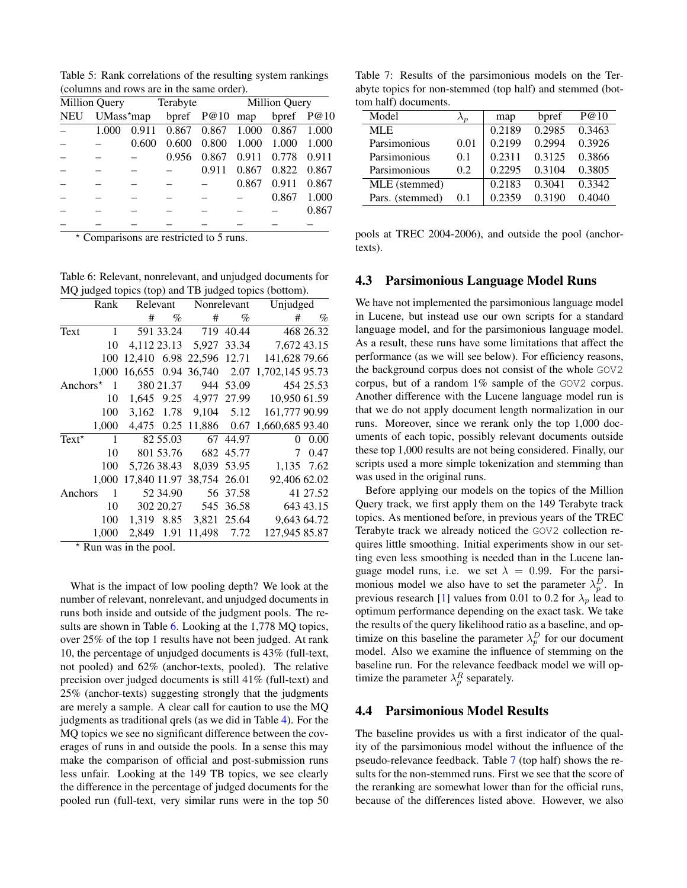<span id="page-4-0"></span>Table 5: Rank correlations of the resulting system rankings (columns and rows are in the same order).

|            |       |       | Million Query Terabyte Million Query |       |       |             |       |
|------------|-------|-------|--------------------------------------|-------|-------|-------------|-------|
| <b>NEU</b> |       |       | UMass*map bpref P@10 map bpref P@10  |       |       |             |       |
|            | 1.000 |       | 0.911 0.867 0.867 1.000 0.867 1.000  |       |       |             |       |
|            |       | 0.600 | 0.600                                | 0.800 | 1.000 | 1.000       | 1.000 |
|            |       |       | 0.956                                | 0.867 | 0.911 | 0.778 0.911 |       |
|            |       |       |                                      | 0.911 | 0.867 | 0.822       | 0.867 |
|            |       |       |                                      |       | 0.867 | 0.911       | 0.867 |
|            |       |       |                                      |       |       | 0.867       | 1.000 |
|            |       |       |                                      |       |       |             | 0.867 |
|            |       |       |                                      |       |       |             |       |

? Comparisons are restricted to 5 runs.

<span id="page-4-1"></span>Table 6: Relevant, nonrelevant, and unjudged documents for MQ judged topics (top) and TB judged topics (bottom).

| Rank                      |       |                                                                                                |                                                    | Unjudged                                                                                                                                                                                                                                                 |                                                |
|---------------------------|-------|------------------------------------------------------------------------------------------------|----------------------------------------------------|----------------------------------------------------------------------------------------------------------------------------------------------------------------------------------------------------------------------------------------------------------|------------------------------------------------|
|                           | $\%$  | #                                                                                              | $\%$                                               | #                                                                                                                                                                                                                                                        | $\%$                                           |
| 1                         |       |                                                                                                | 40.44                                              |                                                                                                                                                                                                                                                          | 468 26.32                                      |
| 10                        |       |                                                                                                | 33.34                                              | 7,672 43.15                                                                                                                                                                                                                                              |                                                |
| 100                       |       |                                                                                                |                                                    | 141,628 79.66                                                                                                                                                                                                                                            |                                                |
| 1.000                     |       |                                                                                                |                                                    | 1,702,145 95.73                                                                                                                                                                                                                                          |                                                |
| Anchors $*$<br>1          |       |                                                                                                |                                                    |                                                                                                                                                                                                                                                          | 454 25.53                                      |
| 10                        |       |                                                                                                |                                                    | 10,950 61.59                                                                                                                                                                                                                                             |                                                |
| 100                       |       |                                                                                                |                                                    | 161,777 90.99                                                                                                                                                                                                                                            |                                                |
|                           |       |                                                                                                |                                                    | 1,660,685 93.40                                                                                                                                                                                                                                          |                                                |
| $\mathbf{1}$              |       |                                                                                                |                                                    |                                                                                                                                                                                                                                                          | 0.00                                           |
| 10                        |       |                                                                                                |                                                    |                                                                                                                                                                                                                                                          | 7 0.47                                         |
| 100                       |       |                                                                                                |                                                    |                                                                                                                                                                                                                                                          | 1,135 7.62                                     |
| 1.000                     |       |                                                                                                |                                                    | 92,406 62.02                                                                                                                                                                                                                                             |                                                |
| Anchors<br>$\overline{1}$ |       |                                                                                                |                                                    |                                                                                                                                                                                                                                                          | 41 27.52                                       |
| 10                        |       |                                                                                                |                                                    |                                                                                                                                                                                                                                                          | 643 43.15                                      |
| 100                       |       |                                                                                                |                                                    | 9,643 64.72                                                                                                                                                                                                                                              |                                                |
| 1,000                     |       |                                                                                                |                                                    | 127,945 85.87                                                                                                                                                                                                                                            |                                                |
|                           | 1,000 | #<br>591 33.24<br>16,655 0.94<br>380 21.37<br>82 55.03<br>801 53.76<br>5,726 38.43<br>52 34.90 | Relevant<br>3,162 1.78<br>1,319 8.85<br>2,849 1.91 | Nonrelevant<br>719<br>4,112 23.13 5,927<br>12,410 6.98 22,596<br>36,740 2.07<br>944 53.09<br>9,104 5.12<br>4,475 0.25 11,886 0.67<br>67 44.97<br>682 45.77<br>17,840 11.97 38,754 26.01<br>56 37.58<br>302 20.27 545 36.58<br>3,821 25.64<br>11,498 7.72 | 12.71<br>1,645 9.25 4,977 27.99<br>8,039 53.95 |

 $*$  Run was in the pool.

What is the impact of low pooling depth? We look at the number of relevant, nonrelevant, and unjudged documents in runs both inside and outside of the judgment pools. The results are shown in Table [6.](#page-4-1) Looking at the 1,778 MQ topics, over 25% of the top 1 results have not been judged. At rank 10, the percentage of unjudged documents is 43% (full-text, not pooled) and 62% (anchor-texts, pooled). The relative precision over judged documents is still 41% (full-text) and 25% (anchor-texts) suggesting strongly that the judgments are merely a sample. A clear call for caution to use the MQ judgments as traditional qrels (as we did in Table [4\)](#page-3-2). For the MQ topics we see no significant difference between the coverages of runs in and outside the pools. In a sense this may make the comparison of official and post-submission runs less unfair. Looking at the 149 TB topics, we see clearly the difference in the percentage of judged documents for the pooled run (full-text, very similar runs were in the top 50

<span id="page-4-2"></span>Table 7: Results of the parsimonious models on the Terabyte topics for non-stemmed (top half) and stemmed (bottom half) documents.

| Model           |      | map    | bpref  | P@10   |
|-----------------|------|--------|--------|--------|
| <b>MLE</b>      |      | 0.2189 | 0.2985 | 0.3463 |
| Parsimonious    | 0.01 | 0.2199 | 0.2994 | 0.3926 |
| Parsimonious    | 0.1  | 0.2311 | 0.3125 | 0.3866 |
| Parsimonious    | 0.2  | 0.2295 | 0.3104 | 0.3805 |
| MLE (stemmed)   |      | 0.2183 | 0.3041 | 0.3342 |
| Pars. (stemmed) | 0.1  | 0.2359 | 0.3190 | 0.4040 |
|                 |      |        |        |        |

pools at TREC 2004-2006), and outside the pool (anchortexts).

### 4.3 Parsimonious Language Model Runs

We have not implemented the parsimonious language model in Lucene, but instead use our own scripts for a standard language model, and for the parsimonious language model. As a result, these runs have some limitations that affect the performance (as we will see below). For efficiency reasons, the background corpus does not consist of the whole GOV2 corpus, but of a random 1% sample of the GOV2 corpus. Another difference with the Lucene language model run is that we do not apply document length normalization in our runs. Moreover, since we rerank only the top 1,000 documents of each topic, possibly relevant documents outside these top 1,000 results are not being considered. Finally, our scripts used a more simple tokenization and stemming than was used in the original runs.

Before applying our models on the topics of the Million Query track, we first apply them on the 149 Terabyte track topics. As mentioned before, in previous years of the TREC Terabyte track we already noticed the GOV2 collection requires little smoothing. Initial experiments show in our setting even less smoothing is needed than in the Lucene language model runs, i.e. we set  $\lambda = 0.99$ . For the parsimonious model we also have to set the parameter  $\lambda_p^D$ . In previous research [\[1\]](#page-6-2) values from 0.01 to 0.2 for  $\lambda_p$  lead to optimum performance depending on the exact task. We take the results of the query likelihood ratio as a baseline, and optimize on this baseline the parameter  $\lambda_p^D$  for our document model. Also we examine the influence of stemming on the baseline run. For the relevance feedback model we will optimize the parameter  $\lambda_p^R$  separately.

### 4.4 Parsimonious Model Results

The baseline provides us with a first indicator of the quality of the parsimonious model without the influence of the pseudo-relevance feedback. Table [7](#page-4-2) (top half) shows the results for the non-stemmed runs. First we see that the score of the reranking are somewhat lower than for the official runs, because of the differences listed above. However, we also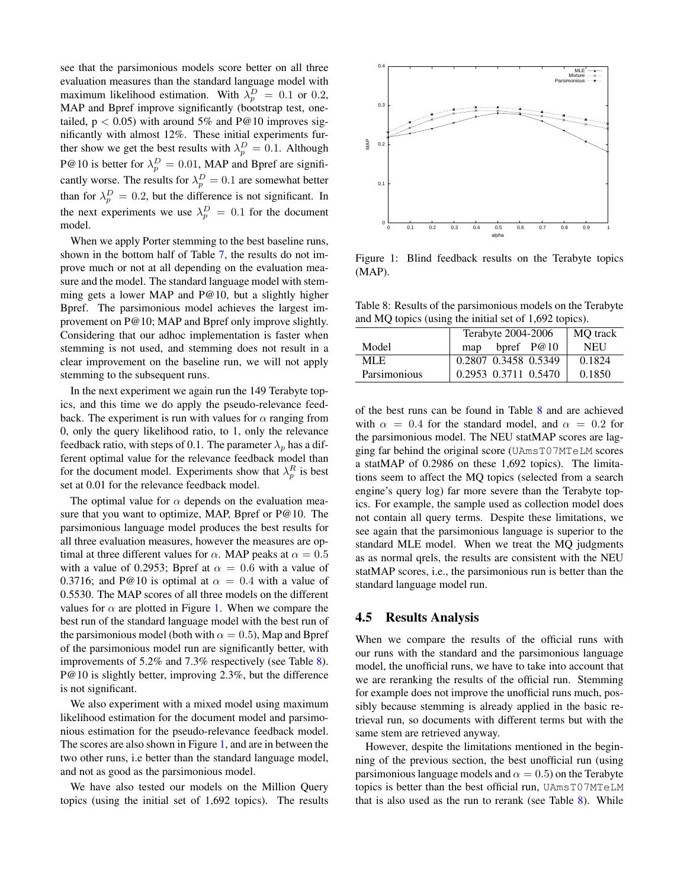see that the parsimonious models score better on all three evaluation measures than the standard language model with maximum likelihood estimation. With  $\lambda_p^D = 0.1$  or 0.2, MAP and Bpref improve significantly (bootstrap test, onetailed,  $p < 0.05$ ) with around 5% and P@10 improves significantly with almost 12%. These initial experiments further show we get the best results with  $\lambda_p^D = 0.1$ . Although P@10 is better for  $\lambda_p^D = 0.01$ , MAP and Bpref are significantly worse. The results for  $\lambda_p^D = 0.1$  are somewhat better than for  $\lambda_p^D = 0.2$ , but the difference is not significant. In the next experiments we use  $\lambda_p^D = 0.1$  for the document model.

When we apply Porter stemming to the best baseline runs, shown in the bottom half of Table [7,](#page-4-2) the results do not improve much or not at all depending on the evaluation measure and the model. The standard language model with stemming gets a lower MAP and P@10, but a slightly higher Bpref. The parsimonious model achieves the largest improvement on P@10; MAP and Bpref only improve slightly. Considering that our adhoc implementation is faster when stemming is not used, and stemming does not result in a clear improvement on the baseline run, we will not apply stemming to the subsequent runs.

In the next experiment we again run the 149 Terabyte topics, and this time we do apply the pseudo-relevance feedback. The experiment is run with values for  $\alpha$  ranging from 0, only the query likelihood ratio, to 1, only the relevance feedback ratio, with steps of 0.1. The parameter  $\lambda_p$  has a different optimal value for the relevance feedback model than for the document model. Experiments show that  $\lambda_p^R$  is best set at 0.01 for the relevance feedback model.

The optimal value for  $\alpha$  depends on the evaluation measure that you want to optimize, MAP, Bpref or P@10. The parsimonious language model produces the best results for all three evaluation measures, however the measures are optimal at three different values for  $\alpha$ . MAP peaks at  $\alpha = 0.5$ with a value of 0.2953; Bpref at  $\alpha = 0.6$  with a value of 0.3716; and P@10 is optimal at  $\alpha = 0.4$  with a value of 0.5530. The MAP scores of all three models on the different values for  $\alpha$  are plotted in Figure [1.](#page-5-0) When we compare the best run of the standard language model with the best run of the parsimonious model (both with  $\alpha = 0.5$ ), Map and Bpref of the parsimonious model run are significantly better, with improvements of 5.2% and 7.3% respectively (see Table [8\)](#page-5-1). P@10 is slightly better, improving 2.3%, but the difference is not significant.

We also experiment with a mixed model using maximum likelihood estimation for the document model and parsimonious estimation for the pseudo-relevance feedback model. The scores are also shown in Figure [1,](#page-5-0) and are in between the two other runs, i.e better than the standard language model, and not as good as the parsimonious model.

We have also tested our models on the Million Query topics (using the initial set of 1,692 topics). The results



<span id="page-5-0"></span>Figure 1: Blind feedback results on the Terabyte topics (MAP).

<span id="page-5-1"></span>Table 8: Results of the parsimonious models on the Terabyte and MQ topics (using the initial set of 1,692 topics).

| bpref $P@10$<br><b>NEU</b><br>Model<br>map<br>0.1824<br>MLE. | Terabyte 2004-2006   | <b>MO</b> track |
|--------------------------------------------------------------|----------------------|-----------------|
|                                                              |                      |                 |
|                                                              | 0.2807 0.3458 0.5349 |                 |
| 0.2953 0.3711 0.5470<br>Parsimonious<br>0.1850               |                      |                 |

of the best runs can be found in Table [8](#page-5-1) and are achieved with  $\alpha = 0.4$  for the standard model, and  $\alpha = 0.2$  for the parsimonious model. The NEU statMAP scores are lagging far behind the original score (UAmsT07MTeLM scores a statMAP of 0.2986 on these 1,692 topics). The limitations seem to affect the MQ topics (selected from a search engine's query log) far more severe than the Terabyte topics. For example, the sample used as collection model does not contain all query terms. Despite these limitations, we see again that the parsimonious language is superior to the standard MLE model. When we treat the MQ judgments as as normal qrels, the results are consistent with the NEU statMAP scores, i.e., the parsimonious run is better than the standard language model run.

#### 4.5 Results Analysis

When we compare the results of the official runs with our runs with the standard and the parsimonious language model, the unofficial runs, we have to take into account that we are reranking the results of the official run. Stemming for example does not improve the unofficial runs much, possibly because stemming is already applied in the basic retrieval run, so documents with different terms but with the same stem are retrieved anyway.

However, despite the limitations mentioned in the beginning of the previous section, the best unofficial run (using parsimonious language models and  $\alpha = 0.5$ ) on the Terabyte topics is better than the best official run, UAmsT07MTeLM that is also used as the run to rerank (see Table [8\)](#page-5-1). While